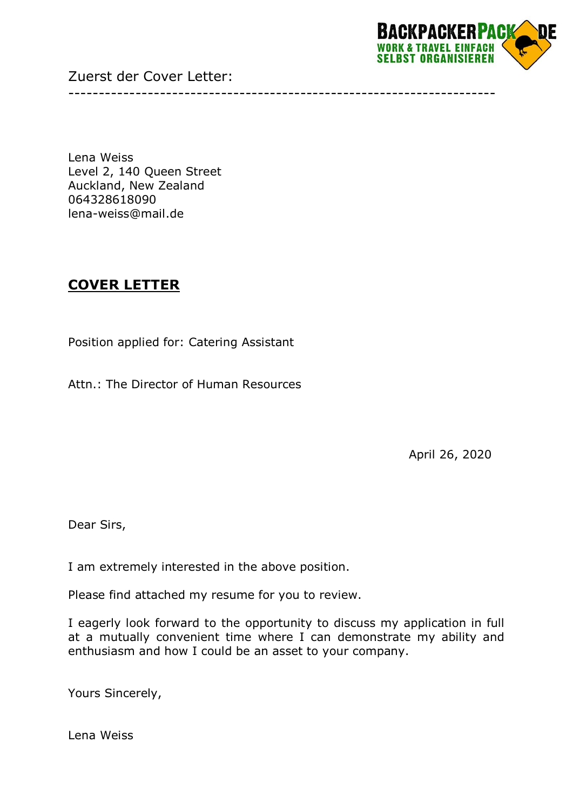Zuerst der Cover Letter:



Lena Weiss Level 2, 140 Queen Street Auckland, New Zealand 064328618090 lena-weiss@mail.de

## **COVER LETTER**

Position applied for: Catering Assistant

Attn.: The Director of Human Resources

April 26, 2020

Dear Sirs,

I am extremely interested in the above position.

Please find attached my resume for you to review.

I eagerly look forward to the opportunity to discuss my application in full at a mutually convenient time where I can demonstrate my ability and enthusiasm and how I could be an asset to your company.

----------------------------------------------------------------------

Yours Sincerely,

Lena Weiss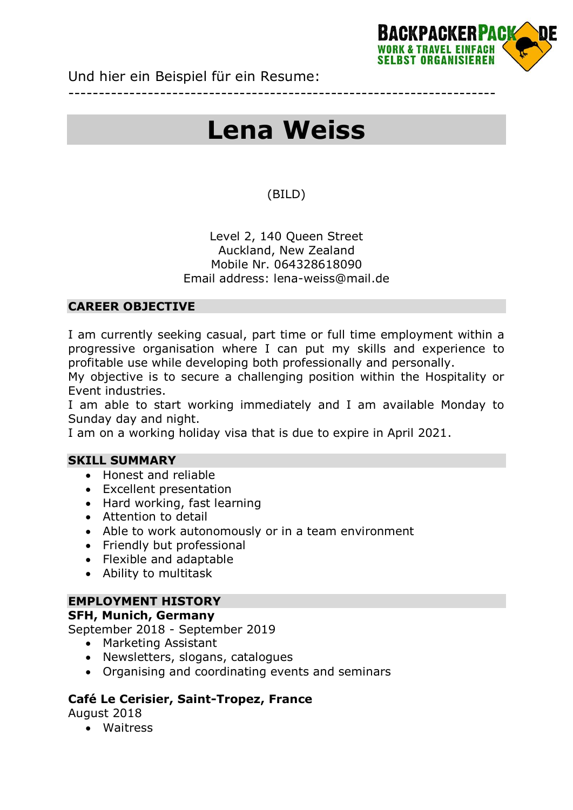

Und hier ein Beispiel für ein Resume:

# **Lena Weiss**

----------------------------------------------------------------------

### (BILD)

#### Level 2, 140 Queen Street Auckland, New Zealand Mobile Nr. 064328618090 Email address: lena-weiss@mail.de

#### **CAREER OBJECTIVE**

I am currently seeking casual, part time or full time employment within a progressive organisation where I can put my skills and experience to profitable use while developing both professionally and personally.

My objective is to secure a challenging position within the Hospitality or Event industries.

I am able to start working immediately and I am available Monday to Sunday day and night.

I am on a working holiday visa that is due to expire in April 2021.

#### **SKILL SUMMARY**

- Honest and reliable
- Excellent presentation
- Hard working, fast learning
- Attention to detail
- Able to work autonomously or in a team environment
- Friendly but professional
- Flexible and adaptable
- Ability to multitask

#### **EMPLOYMENT HISTORY**

#### **SFH, Munich, Germany**

September 2018 - September 2019

- Marketing Assistant
- Newsletters, slogans, catalogues
- Organising and coordinating events and seminars

#### **Café Le Cerisier, Saint-Tropez, France**

August 2018

Waitress